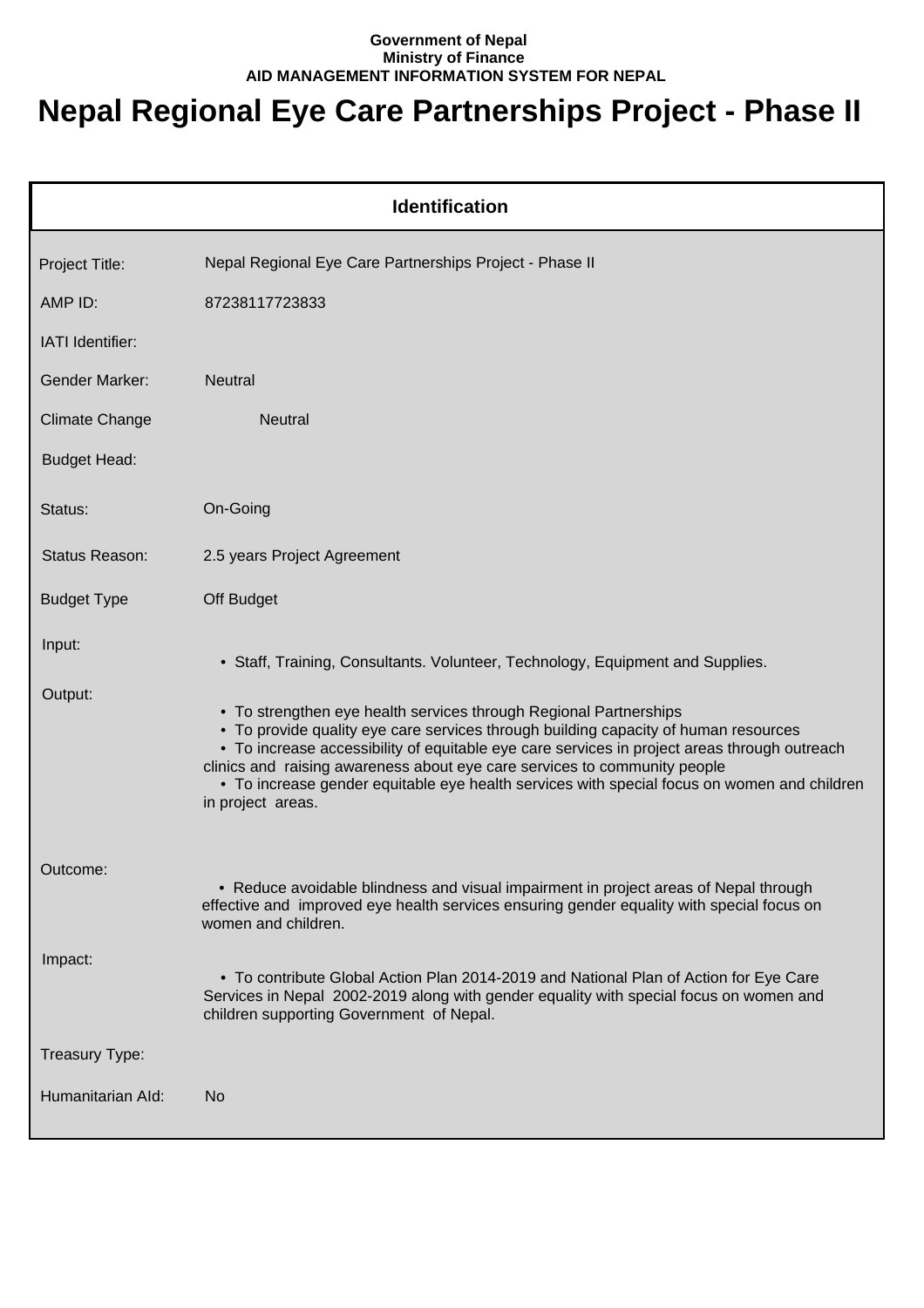## **Government of Nepal Ministry of Finance AID MANAGEMENT INFORMATION SYSTEM FOR NEPAL**

## **Nepal Regional Eye Care Partnerships Project - Phase II**

| <b>Identification</b> |                                                                                                                                                                                                                                                                                                                                                                                                                                                           |  |
|-----------------------|-----------------------------------------------------------------------------------------------------------------------------------------------------------------------------------------------------------------------------------------------------------------------------------------------------------------------------------------------------------------------------------------------------------------------------------------------------------|--|
| Project Title:        | Nepal Regional Eye Care Partnerships Project - Phase II                                                                                                                                                                                                                                                                                                                                                                                                   |  |
| AMP ID:               | 87238117723833                                                                                                                                                                                                                                                                                                                                                                                                                                            |  |
| IATI Identifier:      |                                                                                                                                                                                                                                                                                                                                                                                                                                                           |  |
| <b>Gender Marker:</b> | <b>Neutral</b>                                                                                                                                                                                                                                                                                                                                                                                                                                            |  |
| <b>Climate Change</b> | <b>Neutral</b>                                                                                                                                                                                                                                                                                                                                                                                                                                            |  |
| <b>Budget Head:</b>   |                                                                                                                                                                                                                                                                                                                                                                                                                                                           |  |
| Status:               | On-Going                                                                                                                                                                                                                                                                                                                                                                                                                                                  |  |
| Status Reason:        | 2.5 years Project Agreement                                                                                                                                                                                                                                                                                                                                                                                                                               |  |
| <b>Budget Type</b>    | Off Budget                                                                                                                                                                                                                                                                                                                                                                                                                                                |  |
| Input:                | • Staff, Training, Consultants. Volunteer, Technology, Equipment and Supplies.                                                                                                                                                                                                                                                                                                                                                                            |  |
| Output:               | • To strengthen eye health services through Regional Partnerships<br>• To provide quality eye care services through building capacity of human resources<br>• To increase accessibility of equitable eye care services in project areas through outreach<br>clinics and raising awareness about eye care services to community people<br>• To increase gender equitable eye health services with special focus on women and children<br>in project areas. |  |
| Outcome:              | • Reduce avoidable blindness and visual impairment in project areas of Nepal through<br>effective and improved eye health services ensuring gender equality with special focus on<br>women and children.                                                                                                                                                                                                                                                  |  |
| Impact:               | • To contribute Global Action Plan 2014-2019 and National Plan of Action for Eye Care<br>Services in Nepal 2002-2019 along with gender equality with special focus on women and<br>children supporting Government of Nepal.                                                                                                                                                                                                                               |  |
| Treasury Type:        |                                                                                                                                                                                                                                                                                                                                                                                                                                                           |  |
| Humanitarian Ald:     | <b>No</b>                                                                                                                                                                                                                                                                                                                                                                                                                                                 |  |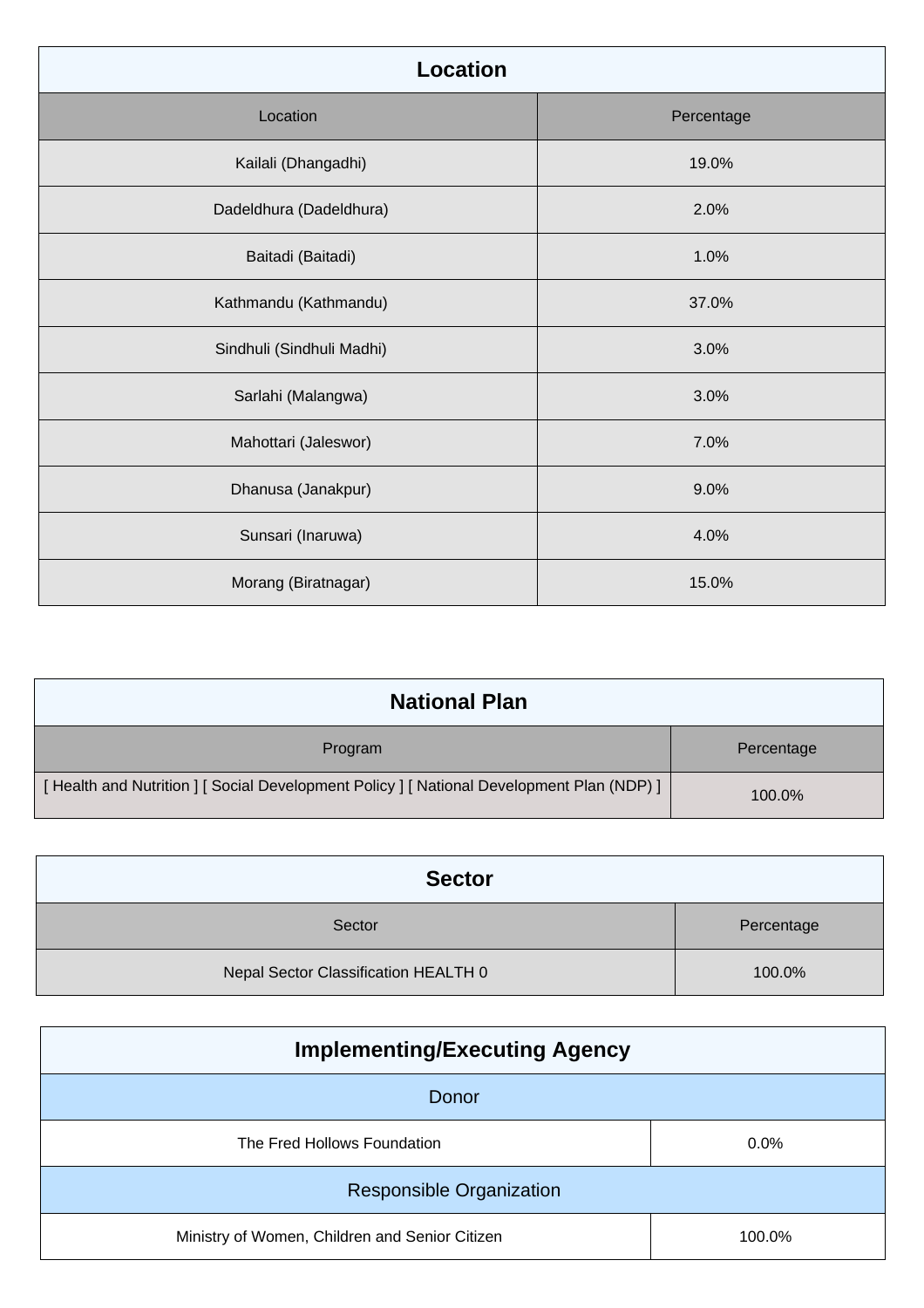| <b>Location</b>           |            |
|---------------------------|------------|
| Location                  | Percentage |
| Kailali (Dhangadhi)       | 19.0%      |
| Dadeldhura (Dadeldhura)   | 2.0%       |
| Baitadi (Baitadi)         | 1.0%       |
| Kathmandu (Kathmandu)     | 37.0%      |
| Sindhuli (Sindhuli Madhi) | 3.0%       |
| Sarlahi (Malangwa)        | 3.0%       |
| Mahottari (Jaleswor)      | 7.0%       |
| Dhanusa (Janakpur)        | 9.0%       |
| Sunsari (Inaruwa)         | 4.0%       |
| Morang (Biratnagar)       | 15.0%      |

| <b>National Plan</b>                                                                      |            |
|-------------------------------------------------------------------------------------------|------------|
| Program                                                                                   | Percentage |
| [Health and Nutrition ] [ Social Development Policy ] [ National Development Plan (NDP) ] | 100.0%     |

| <b>Sector</b>                        |            |
|--------------------------------------|------------|
| Sector                               | Percentage |
| Nepal Sector Classification HEALTH 0 | 100.0%     |

| <b>Implementing/Executing Agency</b>           |         |
|------------------------------------------------|---------|
| Donor                                          |         |
| The Fred Hollows Foundation                    | $0.0\%$ |
| <b>Responsible Organization</b>                |         |
| Ministry of Women, Children and Senior Citizen | 100.0%  |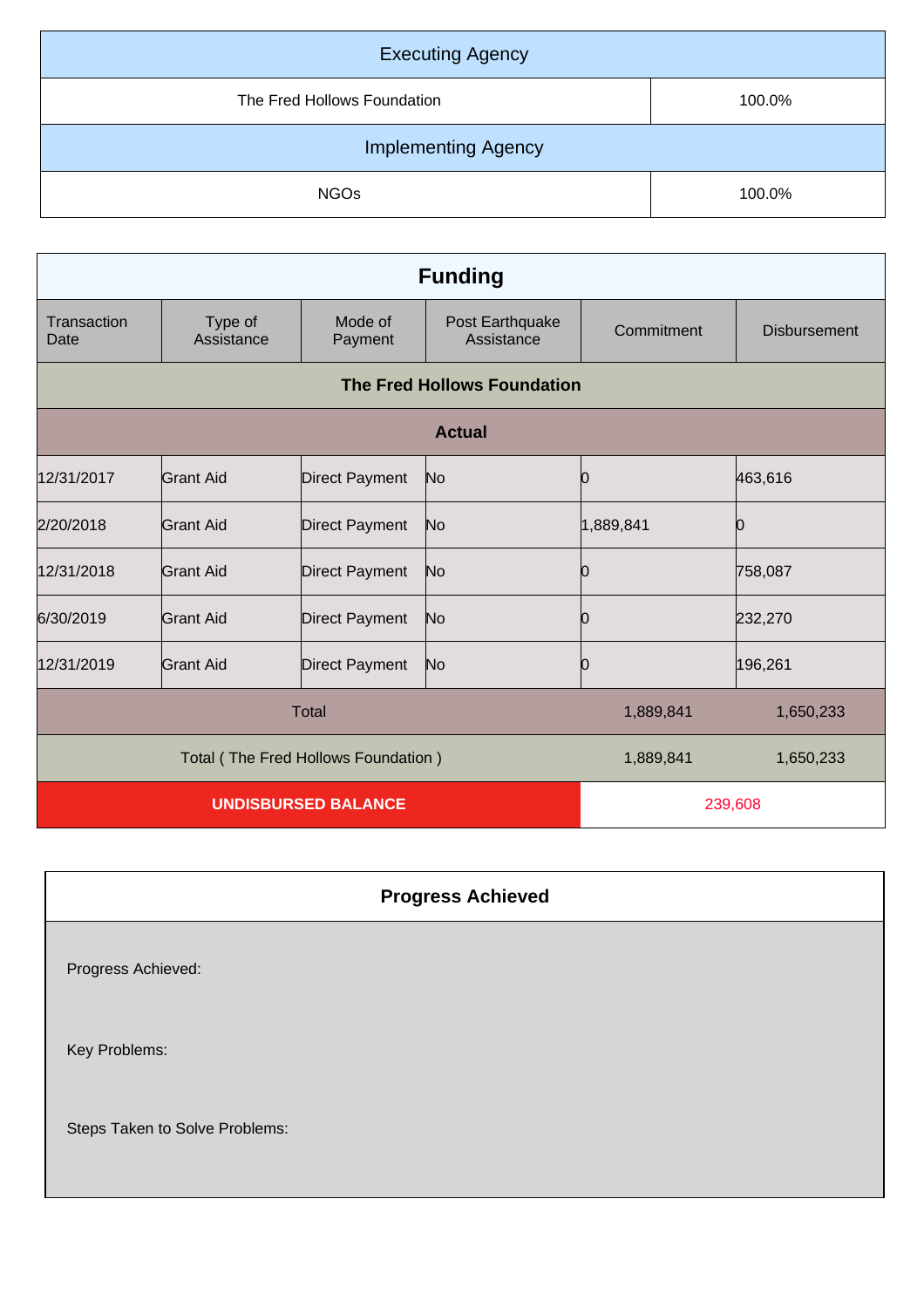| <b>Executing Agency</b>     |        |  |
|-----------------------------|--------|--|
| The Fred Hollows Foundation | 100.0% |  |
| <b>Implementing Agency</b>  |        |  |
| <b>NGOs</b>                 | 100.0% |  |

| <b>Funding</b>                      |                       |                       |                                    |            |                     |
|-------------------------------------|-----------------------|-----------------------|------------------------------------|------------|---------------------|
| Transaction<br>Date                 | Type of<br>Assistance | Mode of<br>Payment    | Post Earthquake<br>Assistance      | Commitment | <b>Disbursement</b> |
|                                     |                       |                       | <b>The Fred Hollows Foundation</b> |            |                     |
| <b>Actual</b>                       |                       |                       |                                    |            |                     |
| 12/31/2017                          | Grant Aid             | <b>Direct Payment</b> | N <sub>o</sub>                     | 0          | 463,616             |
| 2/20/2018                           | <b>Grant Aid</b>      | <b>Direct Payment</b> | No                                 | 1,889,841  | Ŋ                   |
| 12/31/2018                          | Grant Aid             | <b>Direct Payment</b> | N <sub>o</sub>                     | 0          | 758,087             |
| 6/30/2019                           | Grant Aid             | <b>Direct Payment</b> | N <sub>o</sub>                     | 0          | 232,270             |
| 12/31/2019                          | <b>Grant Aid</b>      | <b>Direct Payment</b> | N <sub>o</sub>                     | 10         | 196,261             |
| <b>Total</b>                        |                       |                       | 1,889,841                          | 1,650,233  |                     |
| Total (The Fred Hollows Foundation) |                       |                       | 1,889,841                          | 1,650,233  |                     |
| <b>UNDISBURSED BALANCE</b>          |                       |                       | 239,608                            |            |                     |

## **Progress Achieved**

Progress Achieved:

Key Problems:

Steps Taken to Solve Problems: